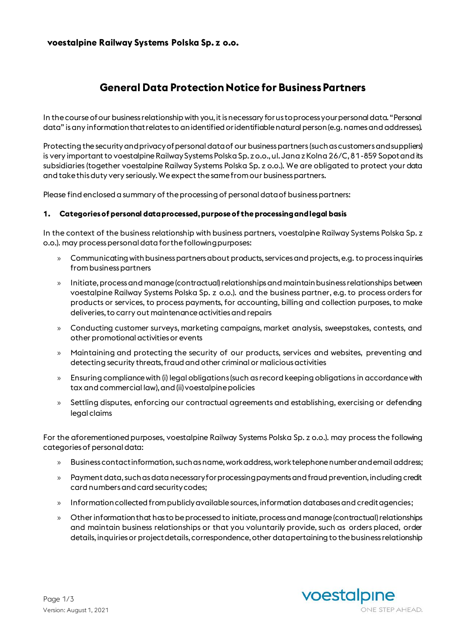### **voestalpine Railway Systems Polska Sp. z o.o.**

# **General Data Protection Notice for Business Partners**

In the course of our business relationship with you, it is necessary for us to process your personal data. "Personal data" is any information that relates to an identified or identifiable natural person (e.g. names and addresses).

Protecting the security and privacy of personal data of our business partners (such as customers and suppliers) is very important to voestalpine Railway Systems Polska Sp. z o.o., ul. Jana z Kolna 26/C, 81-859 Sopotand its subsidiaries (together voestalpine Railway Systems Polska Sp. z o.o.). We are obligated to protect your data and take this duty very seriously. We expect the same from our business partners.

Please find enclosed a summary of the processing of personal data of business partners:

#### **1. Categories of personal data processed, purpose of the processing and legal basis**

In the context of the business relationship with business partners, voestalpine Railway Systems Polska Sp. z o.o.). may process personal data for the following purposes:

- » Communicating with business partners about products, services and projects, e.g. to process inquiries from business partners
- » Initiate, process and manage(contractual) relationships and maintain business relationships between voestalpine Railway Systems Polska Sp. z o.o.). and the business partner, e.g. to process orders for products or services, to process payments, for accounting, billing and collection purposes, to make deliveries, to carry out maintenance activities and repairs
- » Conducting customer surveys, marketing campaigns, market analysis, sweepstakes, contests, and other promotional activities or events
- » Maintaining and protecting the security of our products, services and websites, preventing and detecting security threats, fraud and other criminal or malicious activities
- » Ensuring compliance with (i) legal obligations (such as record keeping obligations in accordance with tax and commercial law), and (ii) voestalpine policies
- » Settling disputes, enforcing our contractual agreements and establishing, exercising or defending legal claims

For the aforementioned purposes, voestalpine Railway Systems Polska Sp. z o.o.). may process the following categories of personal data:

- » Business contact information, such as name, work address, work telephone number and email address;
- » Payment data, such as data necessary for processing payments and fraud prevention, including credit card numbers and card security codes;
- » Information collected from publicly available sources, information databases and credit agencies;
- » Other information that has to be processed to initiate, process and manage (contractual) relationships and maintain business relationships or that you voluntarily provide, such as orders placed, order details, inquiries or project details, correspondence, other data pertaining to the business relationship

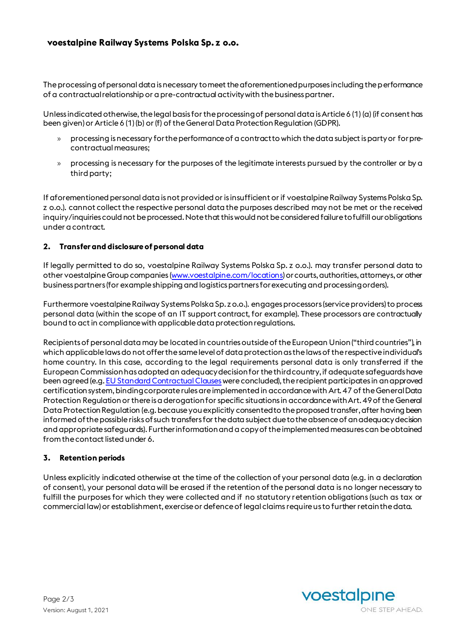## **voestalpine Railway Systems Polska Sp. z o.o.**

The processing of personal data is necessary to meet the aforementioned purposes including the performance of a contractual relationship or a pre-contractual activity with the business partner.

Unless indicated otherwise, the legal basis for the processing of personal data is Article 6 (1) (a) (if consent has been given) or Article 6 (1) (b) or (f) of the General Data Protection Regulation (GDPR).

- » processing is necessary for the performance of a contract to which the data subject is party or for precontractual measures;
- » processing is necessary for the purposes of the legitimate interests pursued by the controller or by a third party;

If aforementioned personal data is not provided or is insufficient or if voestalpine Railway Systems Polska Sp. z o.o.). cannot collect the respective personal data the purposes described may not be met or the received inquiry/inquiries could not be processed. Note that this would not be considered failure to fulfill our obligations under a contract.

#### **2. Transfer and disclosure of personal data**

If legally permitted to do so, voestalpine Railway Systems Polska Sp. z o.o.). may transfer personal data to other voestalpine Group companies [\(www.voestalpine.com/locations](http://www.voestalpine.com/locations)) or courts, authorities, attorneys, or other business partners (for example shipping and logistics partners for executing and processing orders).

Furthermore voestalpine Railway Systems Polska Sp. z o.o.). engages processors (service providers) to process personal data (within the scope of an IT support contract, for example). These processors are contractually bound to act in compliance with applicable data protection regulations.

Recipients of personal data may be located in countries outside of the European Union ("third countries"), in which applicable laws do not offer the same level of data protection as the laws of the respective individual's home country. In this case, according to the legal requirements personal data is only transferred if the European Commission has adopted an adequacy decision for the third country, if adequate safeguards have been agreed (e.g[. EU Standard Contractual Clauses](https://ec.europa.eu/info/law/law-topic/data-protection/data-transfers-outside-eu/model-contracts-transfer-personal-data-third-countries_en)were concluded), the recipient participates in an approved certification system,binding corporate rules are implemented in accordance with Art. 47 of the General Data Protection Regulationor there is a derogation for specific situations in accordance with Art. 49 of the General Data Protection Regulation (e.g. because youexplicitly consented to the proposed transfer, after having been informed of the possible risks of such transfers for the data subject due to the absence of an adequacy decision and appropriate safeguards). Further information and a copy of the implemented measures can be obtained from the contact listed under 6.

#### **3. Retention periods**

Unless explicitly indicated otherwise at the time of the collection of your personal data (e.g. in a declaration of consent), your personal data will be erased if the retention of the personal data is no longer necessary to fulfill the purposes for which they were collected and if no statutory retention obligations (such as tax or commercial law) or establishment, exercise or defence of legal claims require us to further retain the data.